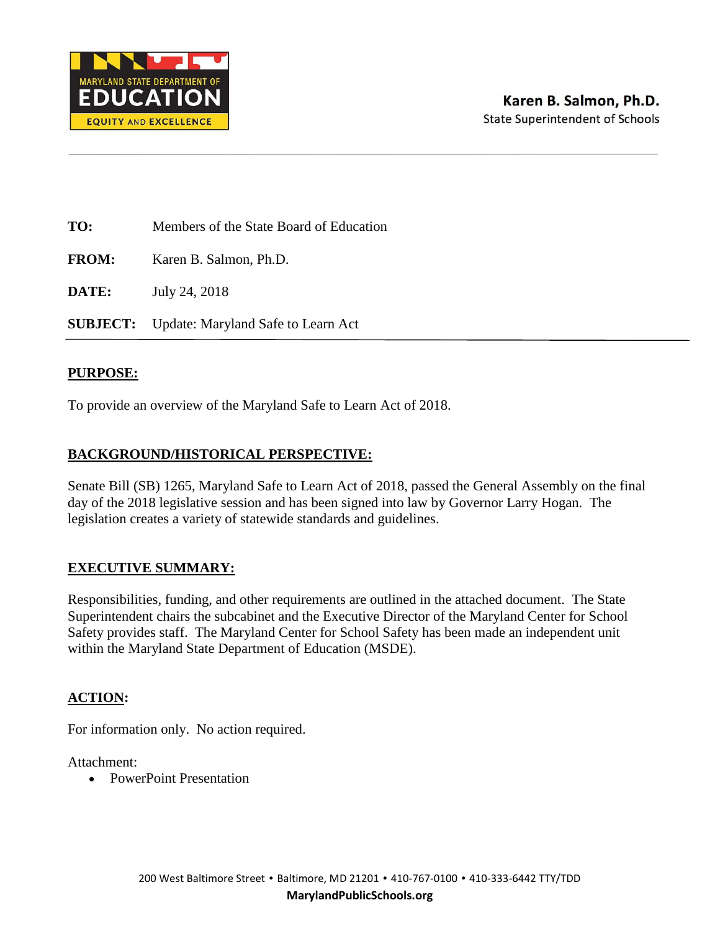

**TO:** Members of the State Board of Education

**FROM:** Karen B. Salmon, Ph.D.

**DATE:** July 24, 2018

**SUBJECT:** Update: Maryland Safe to Learn Act

#### **PURPOSE:**

To provide an overview of the Maryland Safe to Learn Act of 2018.

#### **BACKGROUND/HISTORICAL PERSPECTIVE:**

Senate Bill (SB) 1265, Maryland Safe to Learn Act of 2018, passed the General Assembly on the final day of the 2018 legislative session and has been signed into law by Governor Larry Hogan. The legislation creates a variety of statewide standards and guidelines.

#### **EXECUTIVE SUMMARY:**

Responsibilities, funding, and other requirements are outlined in the attached document. The State Superintendent chairs the subcabinet and the Executive Director of the Maryland Center for School Safety provides staff. The Maryland Center for School Safety has been made an independent unit within the Maryland State Department of Education (MSDE).

#### **ACTION:**

For information only. No action required.

Attachment:

• PowerPoint Presentation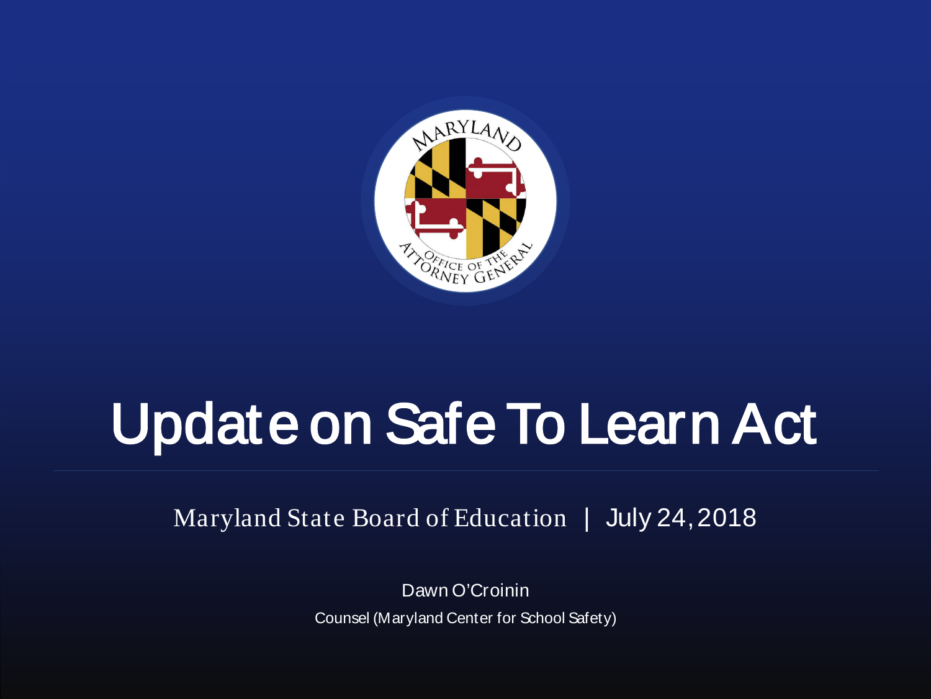

# Update on Safe To Learn Act

Maryland State Board of Education | July 24, 2018

Dawn O'Croinin Counsel (Maryland Center for School Safety)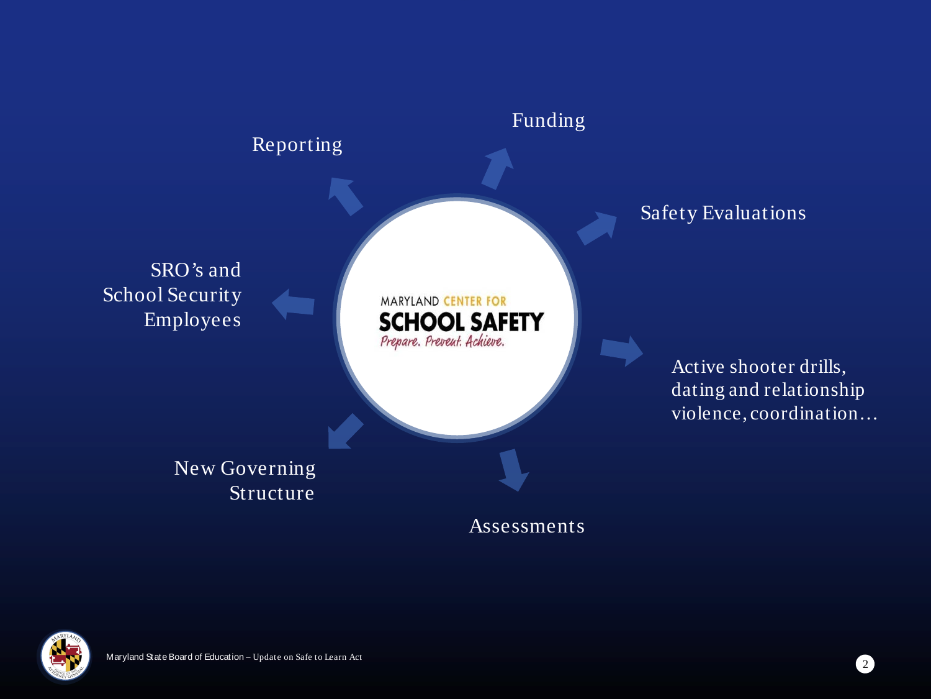

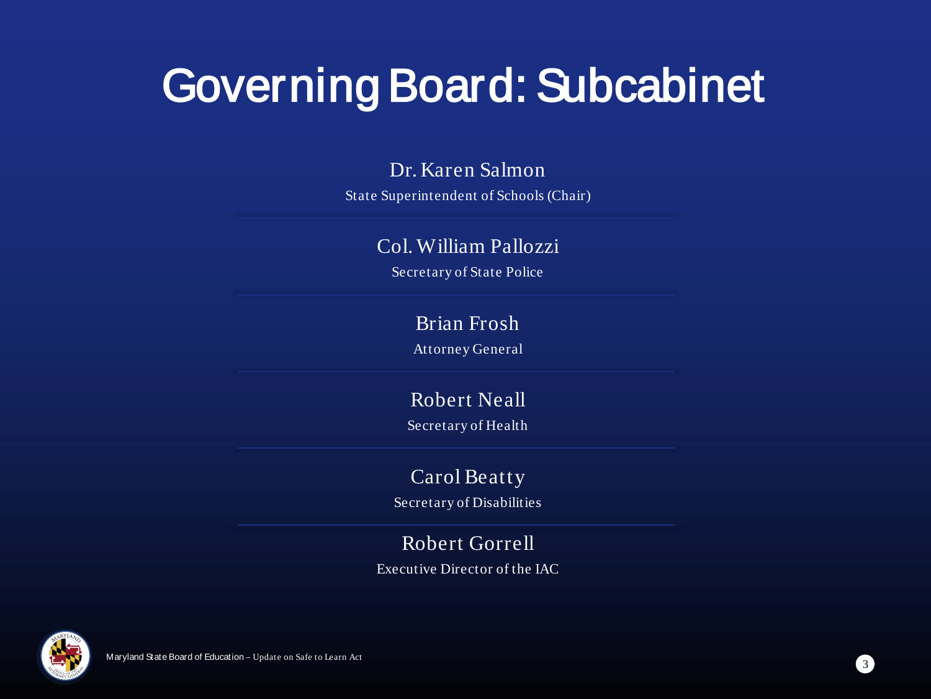## Governing Board: Subcabinet

#### Dr. Karen Salmon

State Superintendent of Schools (Chair)

#### Col. William Pallozzi

Secretary of State Police

#### Brian Frosh

Attorney General

### Robert Neall

Secretary of Health

#### Carol Beatty

Secretary of Disabilities

#### Robert Gorrell

Executive Director of the IAC

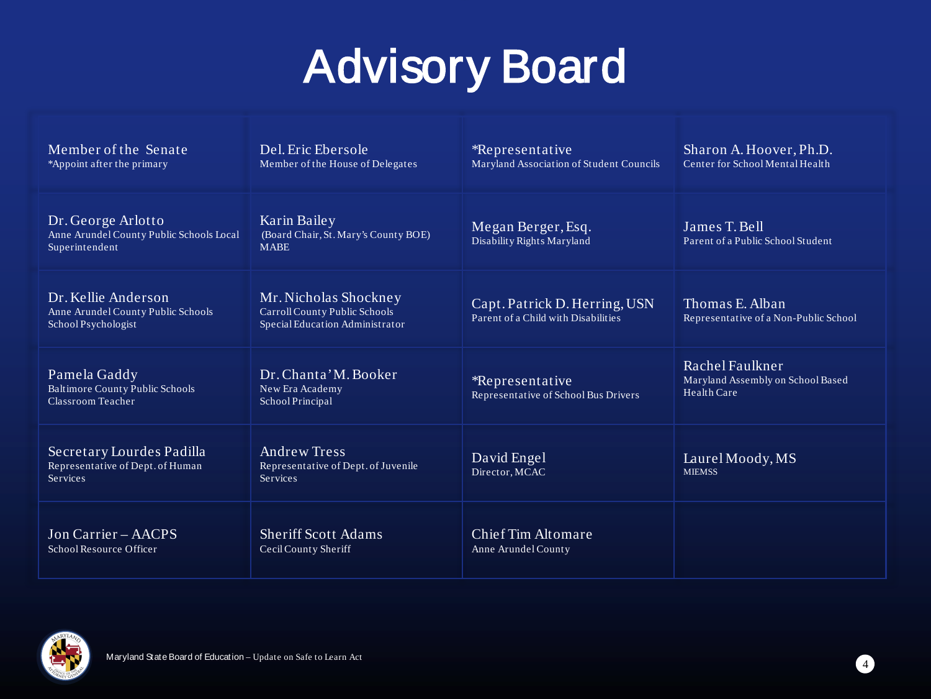## Advisory Board

| Member of the Senate<br>*Appoint after the primary                               | Del. Eric Ebersole<br>Member of the House of Delegates                                    | *Representative<br>Maryland Association of Student Councils          | Sharon A. Hoover, Ph.D.<br>Center for School Mental Health          |
|----------------------------------------------------------------------------------|-------------------------------------------------------------------------------------------|----------------------------------------------------------------------|---------------------------------------------------------------------|
| Dr. George Arlotto<br>Anne Arundel County Public Schools Local<br>Superintendent | Karin Bailey<br>(Board Chair, St. Mary's County BOE)<br><b>MABE</b>                       | Megan Berger, Esq.<br>Disability Rights Maryland                     | James T. Bell<br>Parent of a Public School Student                  |
| Dr. Kellie Anderson<br>Anne Arundel County Public Schools<br>School Psychologist | Mr. Nicholas Shockney<br>Carroll County Public Schools<br>Special Education Administrator | Capt. Patrick D. Herring, USN<br>Parent of a Child with Disabilities | Thomas E. Alban<br>Representative of a Non-Public School            |
| Pamela Gaddy<br><b>Baltimore County Public Schools</b><br>Classroom Teacher      | Dr. Chanta' M. Booker<br>New Era Academy<br>School Principal                              | *Representative<br>Representative of School Bus Drivers              | Rachel Faulkner<br>Maryland Assembly on School Based<br>Health Care |
| Secretary Lourdes Padilla<br>Representative of Dept. of Human<br>Services        | <b>Andrew Tress</b><br>Representative of Dept. of Juvenile<br><b>Services</b>             | David Engel<br>Director, MCAC                                        | Laurel Moody, MS<br><b>MIEMSS</b>                                   |
| Jon Carrier – AACPS<br>School Resource Officer                                   | <b>Sheriff Scott Adams</b><br>Cecil County Sheriff                                        | Chief Tim Altomare<br>Anne Arundel County                            |                                                                     |

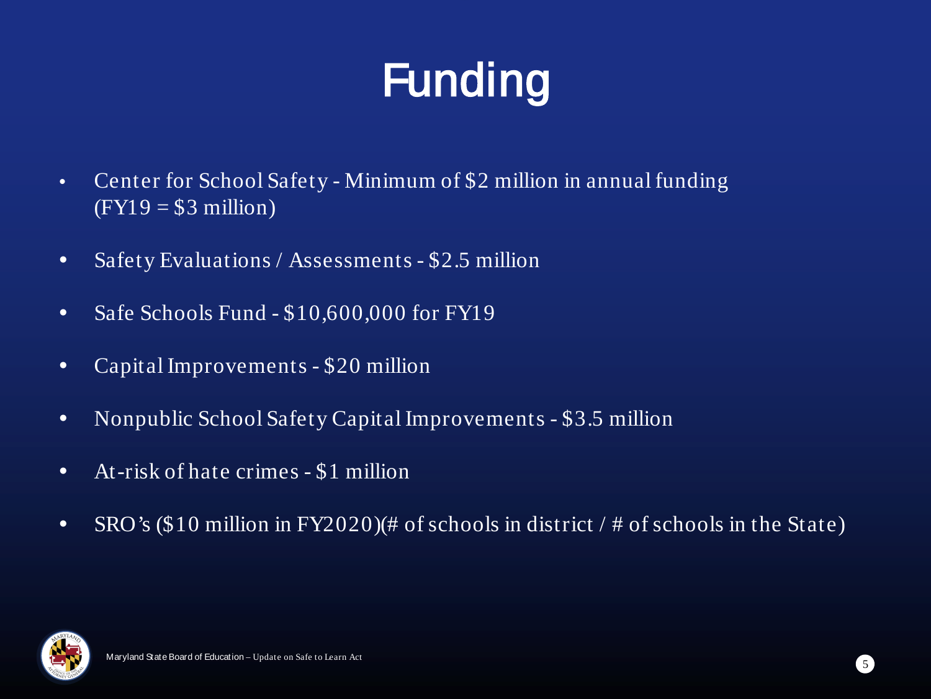# Funding

- Center for School Safety Minimum of \$2 million in annual funding  $(FY19 = $3 \text{ million})$
- Safety Evaluations / Assessments \$2.5 million
- Safe Schools Fund \$10,600,000 for FY19
- Capital Improvements \$20 million
- Nonpublic School Safety Capital Improvements \$3.5 million
- At-risk of hate crimes \$1 million
- SRO's (\$10 million in FY2020)(# of schools in district / # of schools in the State)

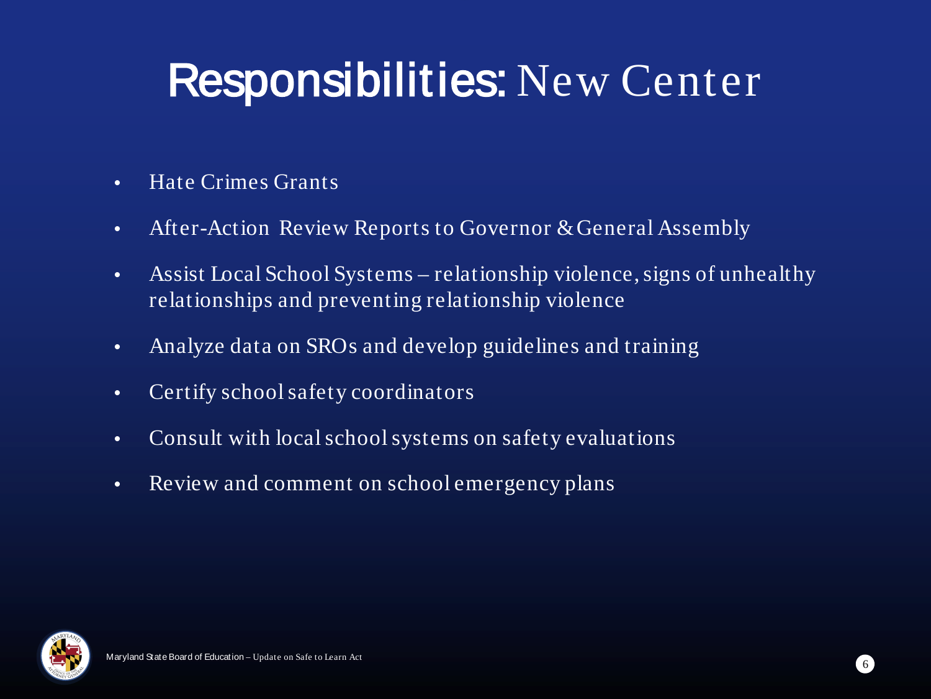### Responsibilities: New Center

- Hate Crimes Grants
- After-Action Review Reports to Governor & General Assembly
- Assist Local School Systems relationship violence, signs of unhealthy relationships and preventing relationship violence
- Analyze data on SROs and develop guidelines and training
- Certify school safety coordinators
- Consult with local school systems on safety evaluations
- Review and comment on school emergency plans

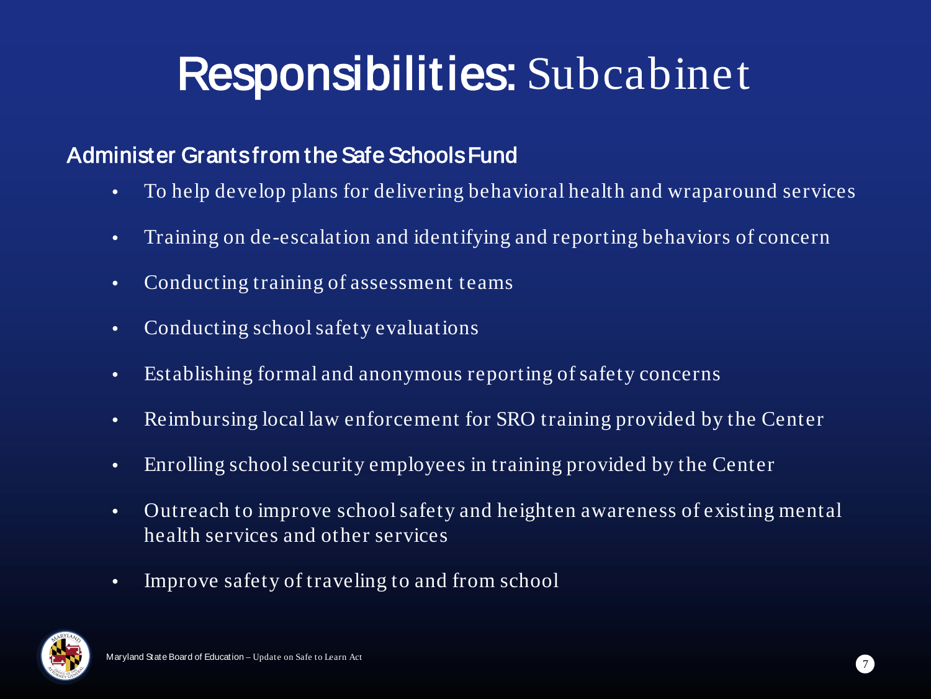## Responsibilities: Subcabinet

#### Administer Grants from the Safe Schools Fund

- To help develop plans for delivering behavioral health and wraparound services
- Training on de-escalation and identifying and reporting behaviors of concern
- Conducting training of assessment teams
- Conducting school safety evaluations
- Establishing formal and anonymous reporting of safety concerns
- Reimbursing local law enforcement for SRO training provided by the Center
- Enrolling school security employees in training provided by the Center
- Outreach to improve school safety and heighten awareness of existing mental health services and other services
- Improve safety of traveling to and from school

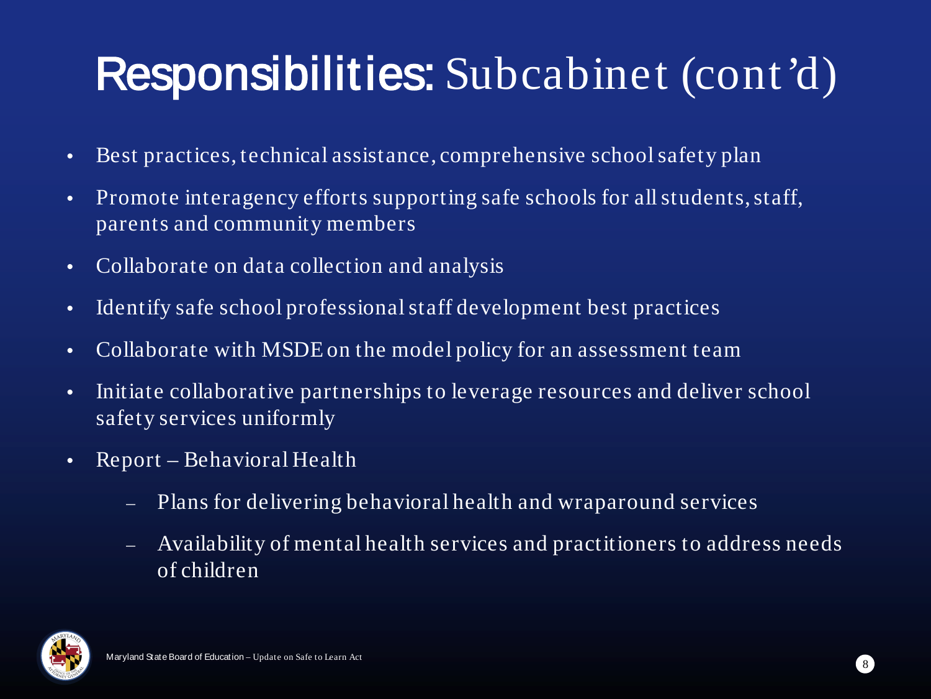## Responsibilities: Subcabinet (cont'd)

- Best practices, technical assistance, comprehensive school safety plan
- Promote interagency efforts supporting safe schools for all students, staff, parents and community members
- Collaborate on data collection and analysis
- Identify safe school professional staff development best practices
- Collaborate with MSDE on the model policy for an assessment team
- Initiate collaborative partnerships to leverage resources and deliver school safety services uniformly
- Report Behavioral Health
	- Plans for delivering behavioral health and wraparound services
	- Availability of mental health services and practitioners to address needs of children

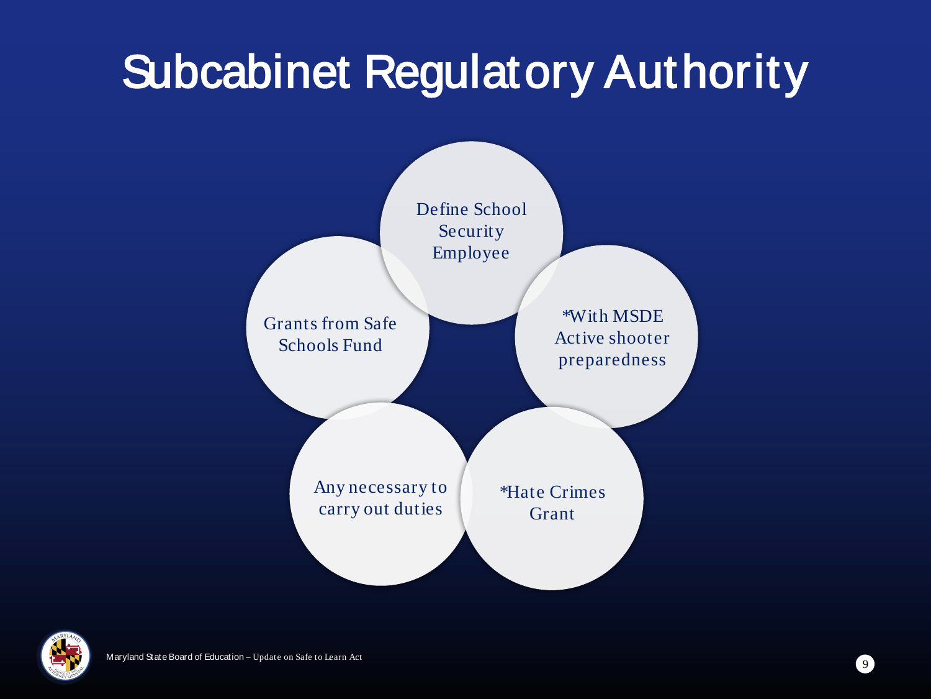## Subcabinet Regulatory Authority



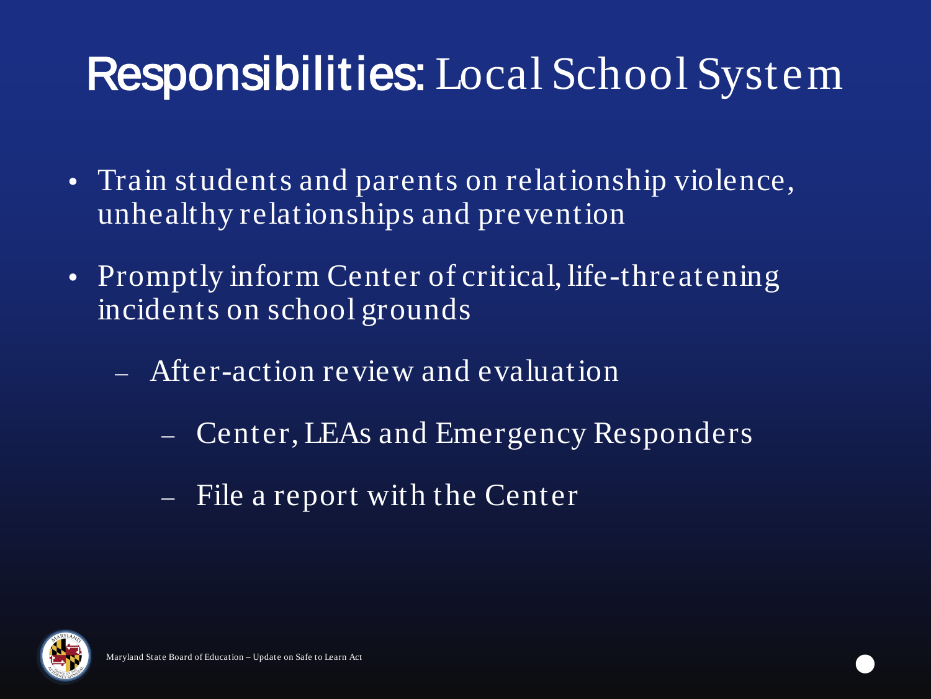### Responsibilities: Local School System

- Train students and parents on relationship violence, unhealthy relationships and prevention
- Promptly inform Center of critical, life-threatening incidents on school grounds
	- ⎼ After-action review and evaluation
		- Center, LEAs and Emergency Responders
		- ⎼ File a report with the Center

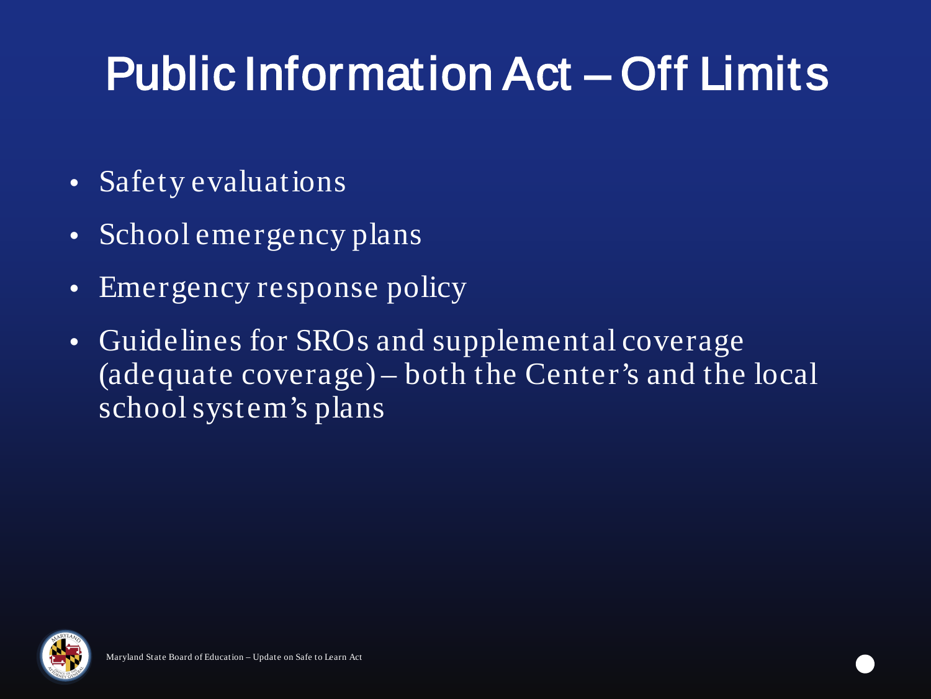# Public Information Act – Off Limits

- Safety evaluations
- School emergency plans
- Emergency response policy
- Guidelines for SROs and supplemental coverage (adequate coverage) – both the Center's and the local school system's plans

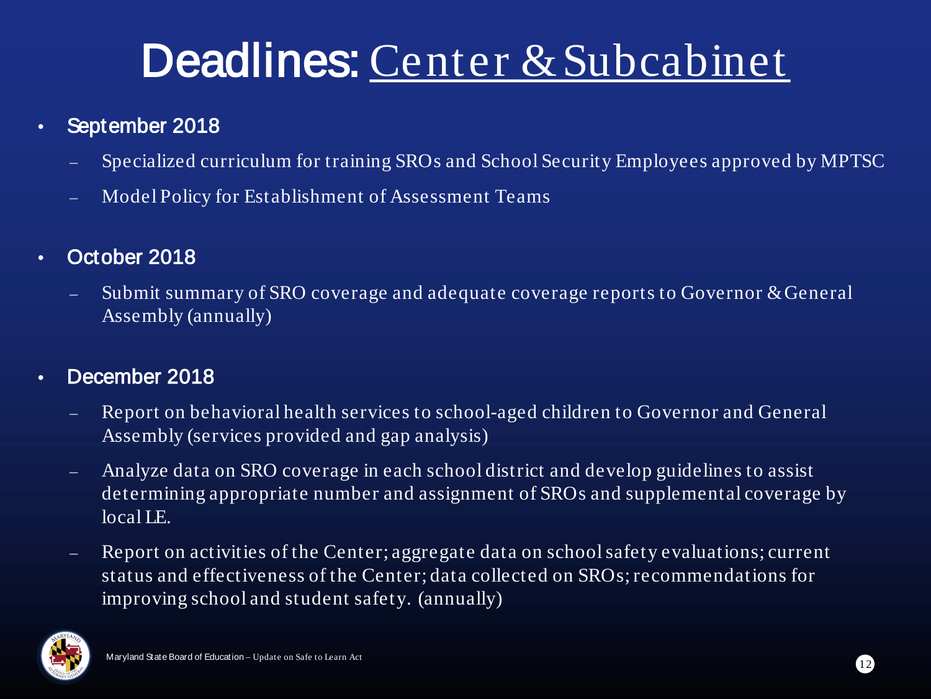### Deadlines: Center & Subcabinet

- September 2018
	- $\blacksquare$  Specialized curriculum for training SROs and School Security Employees approved by MPTSC
	- ⎼ Model Policy for Establishment of Assessment Teams
- October 2018
	- ⎼ Submit summary of SRO coverage and adequate coverage reports to Governor & General Assembly (annually)
- December 2018
	- Report on behavioral health services to school-aged children to Governor and General Assembly (services provided and gap analysis)
	- ⎼ Analyze data on SRO coverage in each school district and develop guidelines to assist determining appropriate number and assignment of SROs and supplemental coverage by local LE.
	- ⎼ Report on activities of the Center; aggregate data on school safety evaluations; current status and effectiveness of the Center; data collected on SROs; recommendations for improving school and student safety. (annually)

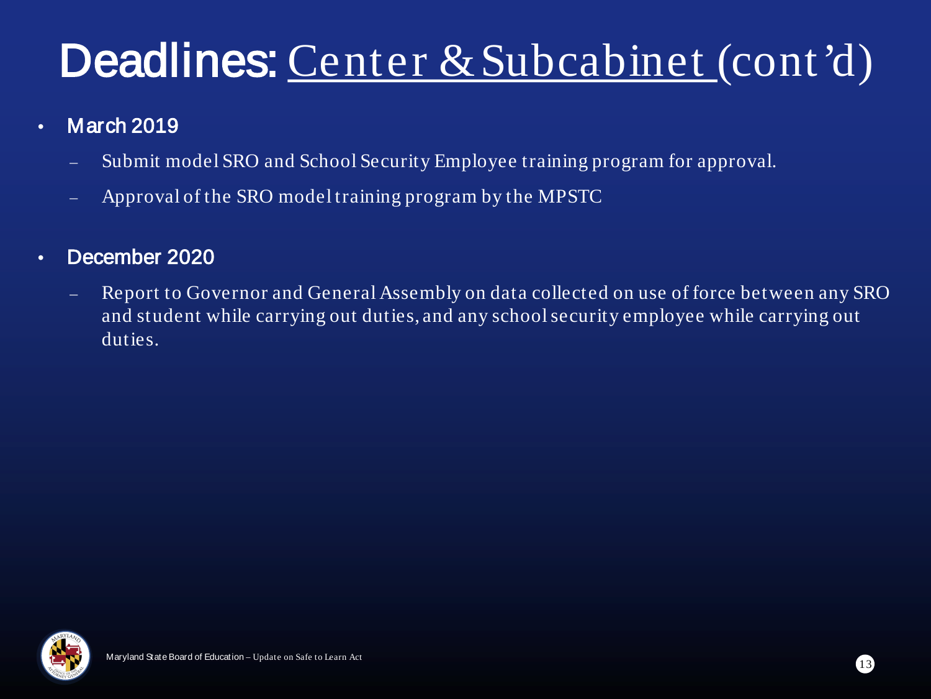### Deadlines: Center & Subcabinet (cont'd)

#### • March 2019

- ⎼ Submit model SRO and School Security Employee training program for approval.
- ⎼ Approval of the SRO model training program by the MPSTC

#### • December 2020

⎼ Report to Governor and General Assembly on data collected on use of force between any SRO and student while carrying out duties, and any school security employee while carrying out duties.

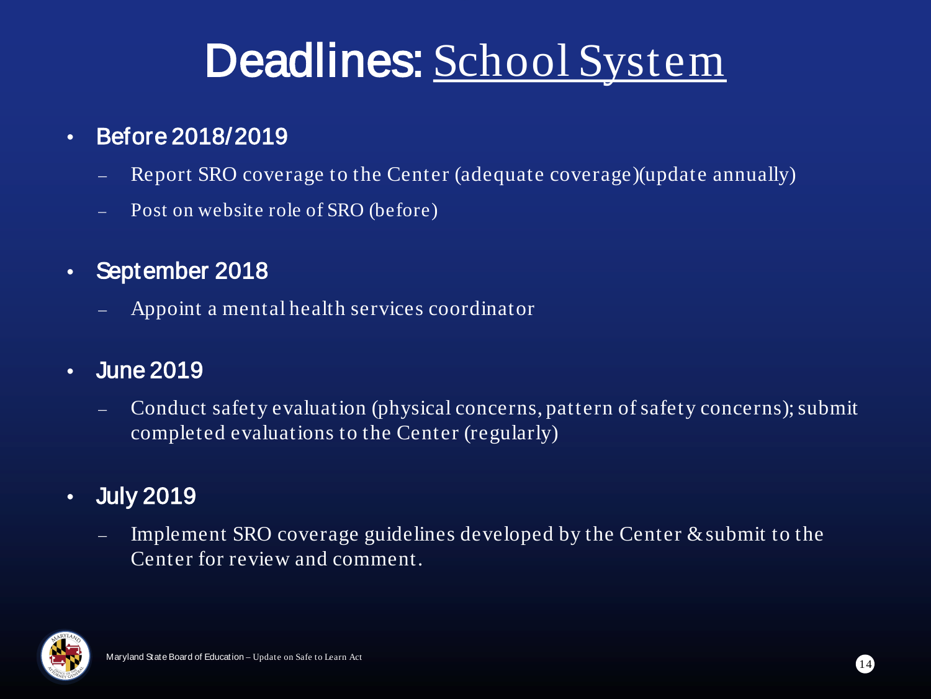### Deadlines: School System

### • Before 2018/2019

- Report SRO coverage to the Center (adequate coverage) (update annually)
- Post on website role of SRO (before)
- September 2018
	- ⎼ Appoint a mental health services coordinator

### • June 2019

Conduct safety evaluation (physical concerns, pattern of safety concerns); submit completed evaluations to the Center (regularly)

### • July 2019

Implement SRO coverage guidelines developed by the Center  $\&$  submit to the Center for review and comment.

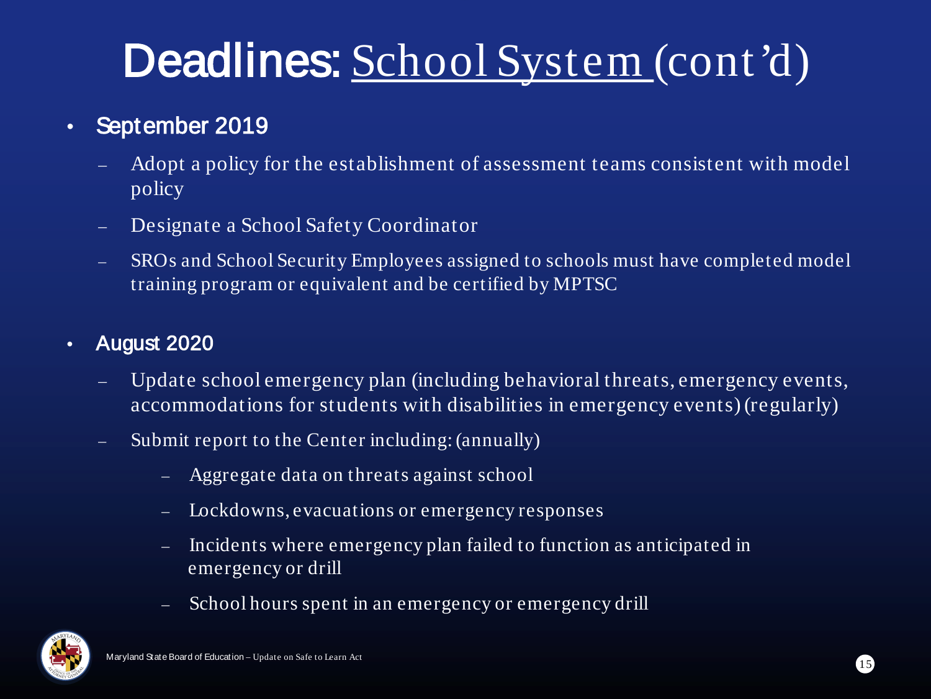## Deadlines: School System (cont'd)

### • September 2019

- Adopt a policy for the establishment of assessment teams consistent with model policy
- Designate a School Safety Coordinator
- ⎼ SROs and School Security Employees assigned to schools must have completed model training program or equivalent and be certified by MPTSC

#### • August 2020

- Update school emergency plan (including behavioral threats, emergency events, accommodations for students with disabilities in emergency events) (regularly)
- Submit report to the Center including: (annually)
	- ⎼ Aggregate data on threats against school
	- Lockdowns, evacuations or emergency responses
	- Incidents where emergency plan failed to function as anticipated in emergency or drill
	- School hours spent in an emergency or emergency drill

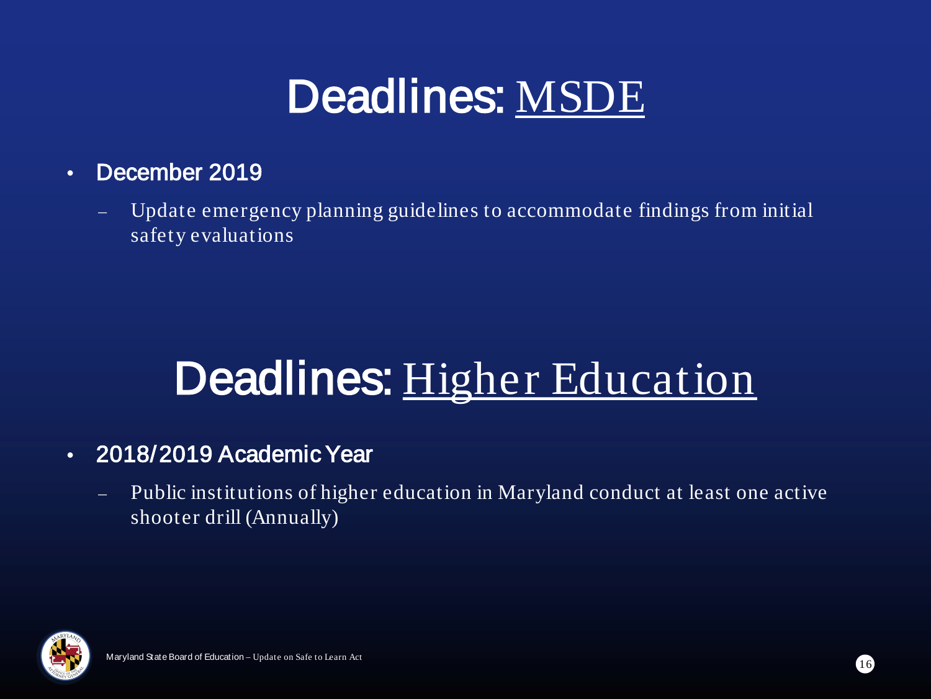### Deadlines: MSDE

#### • December 2019

Update emergency planning guidelines to accommodate findings from initial safety evaluations

### Deadlines: Higher Education

#### • 2018/2019 Academic Year

⎼ Public institutions of higher education in Maryland conduct at least one active shooter drill (Annually)

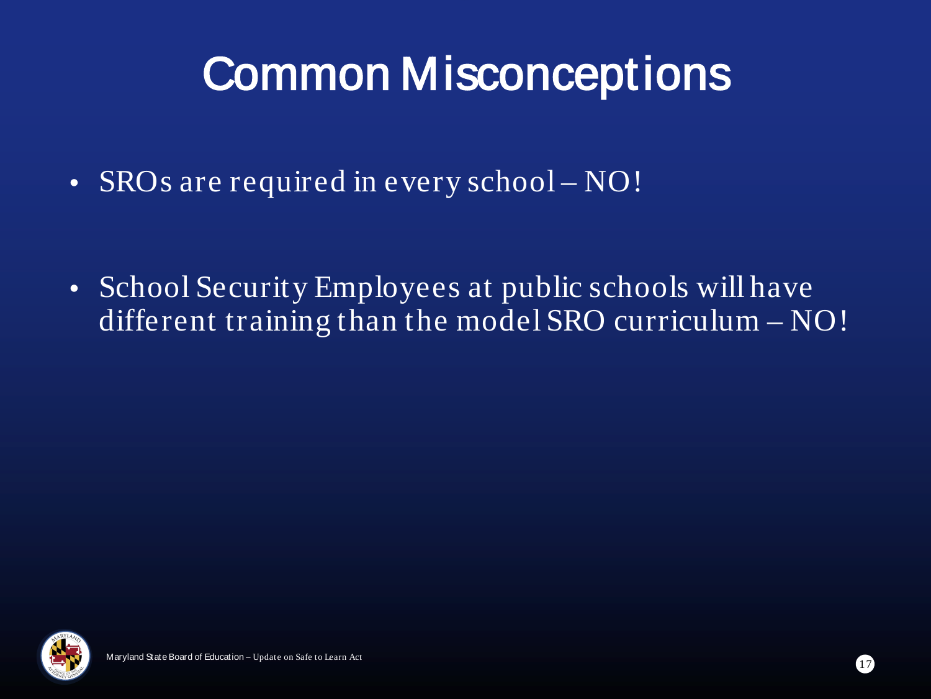### Common Misconceptions

• SROs are required in every school – NO!

• School Security Employees at public schools will have different training than the model SRO curriculum – NO!

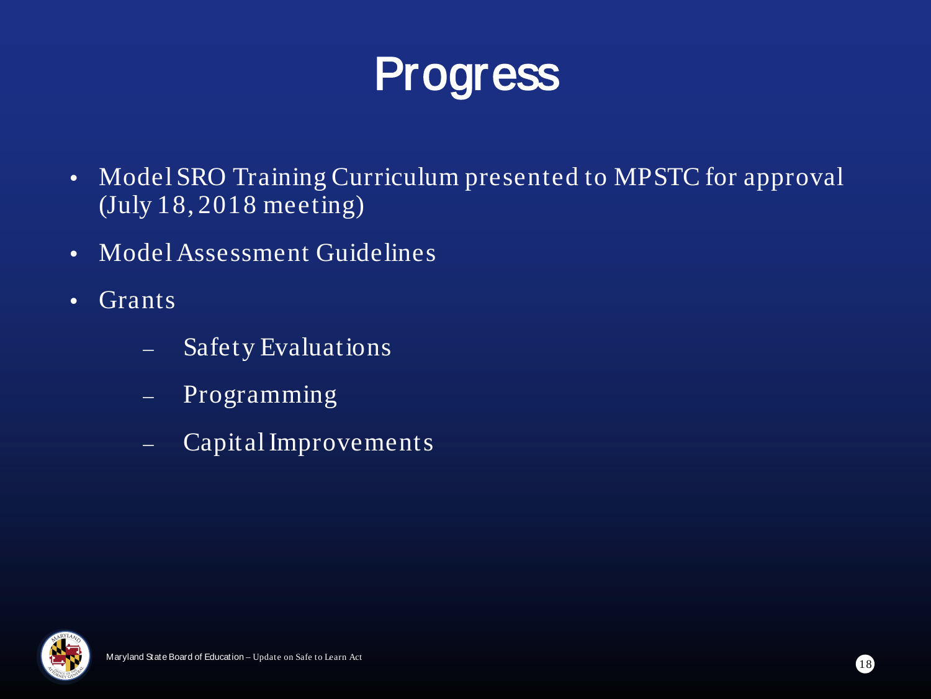

- Model SRO Training Curriculum presented to MPSTC for approval (July 18, 2018 meeting)
- Model Assessment Guidelines
- Grants
	- ⎼ Safety Evaluations
	- ⎼ Programming
	- ⎼ Capital Improvements